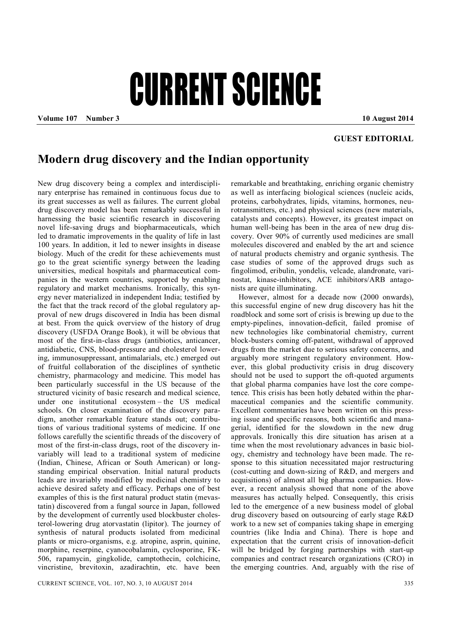## CURRENT SCIENCE

**Volume 107 Number 3 10 August 2014**

## **GUEST EDITORIAL**

## **Modern drug discovery and the Indian opportunity**

New drug discovery being a complex and interdisciplinary enterprise has remained in continuous focus due to its great successes as well as failures. The current global drug discovery model has been remarkably successful in harnessing the basic scientific research in discovering novel life-saving drugs and biopharmaceuticals, which led to dramatic improvements in the quality of life in last 100 years. In addition, it led to newer insights in disease biology. Much of the credit for these achievements must go to the great scientific synergy between the leading universities, medical hospitals and pharmaceutical companies in the western countries, supported by enabling regulatory and market mechanisms. Ironically, this synergy never materialized in independent India; testified by the fact that the track record of the global regulatory approval of new drugs discovered in India has been dismal at best. From the quick overview of the history of drug discovery (USFDA Orange Book), it will be obvious that most of the first-in-class drugs (antibiotics, anticancer, antidiabetic, CNS, blood-pressure and cholesterol lowering, immunosuppressant, antimalarials, etc.) emerged out of fruitful collaboration of the disciplines of synthetic chemistry, pharmacology and medicine. This model has been particularly successful in the US because of the structured vicinity of basic research and medical science, under one institutional ecosystem – the US medical schools. On closer examination of the discovery paradigm, another remarkable feature stands out; contributions of various traditional systems of medicine. If one follows carefully the scientific threads of the discovery of most of the first-in-class drugs, root of the discovery invariably will lead to a traditional system of medicine (Indian, Chinese, African or South American) or longstanding empirical observation. Initial natural products leads are invariably modified by medicinal chemistry to achieve desired safety and efficacy. Perhaps one of best examples of this is the first natural product statin (mevastatin) discovered from a fungal source in Japan, followed by the development of currently used blockbuster cholesterol-lowering drug atorvastatin (lipitor). The journey of synthesis of natural products isolated from medicinal plants or micro-organisms, e.g. atropine, asprin, quinine, morphine, reserpine, cyanocobalamin, cyclosporine, FK-506, rapamycin, gingkolide, camptothecin, colchicine, vincristine, brevitoxin, azadirachtin, etc. have been

remarkable and breathtaking, enriching organic chemistry as well as interfacing biological sciences (nucleic acids, proteins, carbohydrates, lipids, vitamins, hormones, neurotransmitters, etc.) and physical sciences (new materials, catalysts and concepts). However, its greatest impact on human well-being has been in the area of new drug discovery. Over 90% of currently used medicines are small molecules discovered and enabled by the art and science of natural products chemistry and organic synthesis. The case studies of some of the approved drugs such as fingolimod, eribulin, yondelis, velcade, alandronate, varinostat, kinase-inhibitors, ACE inhibitors/ARB antagonists are quite illuminating.

However, almost for a decade now (2000 onwards), this successful engine of new drug discovery has hit the roadblock and some sort of crisis is brewing up due to the empty-pipelines, innovation-deficit, failed promise of new technologies like combinatorial chemistry, current block-busters coming off-patent, withdrawal of approved drugs from the market due to serious safety concerns, and arguably more stringent regulatory environment. However, this global productivity crisis in drug discovery should not be used to support the oft-quoted arguments that global pharma companies have lost the core competence. This crisis has been hotly debated within the pharmaceutical companies and the scientific community. Excellent commentaries have been written on this pressing issue and specific reasons, both scientific and managerial, identified for the slowdown in the new drug approvals. Ironically this dire situation has arisen at a time when the most revolutionary advances in basic biology, chemistry and technology have been made. The response to this situation necessitated major restructuring (cost-cutting and down-sizing of R&D, and mergers and acquisitions) of almost all big pharma companies. However, a recent analysis showed that none of the above measures has actually helped. Consequently, this crisis led to the emergence of a new business model of global drug discovery based on outsourcing of early stage R&D work to a new set of companies taking shape in emerging countries (like India and China). There is hope and expectation that the current crisis of innovation-deficit will be bridged by forging partnerships with start-up companies and contract research organizations (CRO) in the emerging countries. And, arguably with the rise of